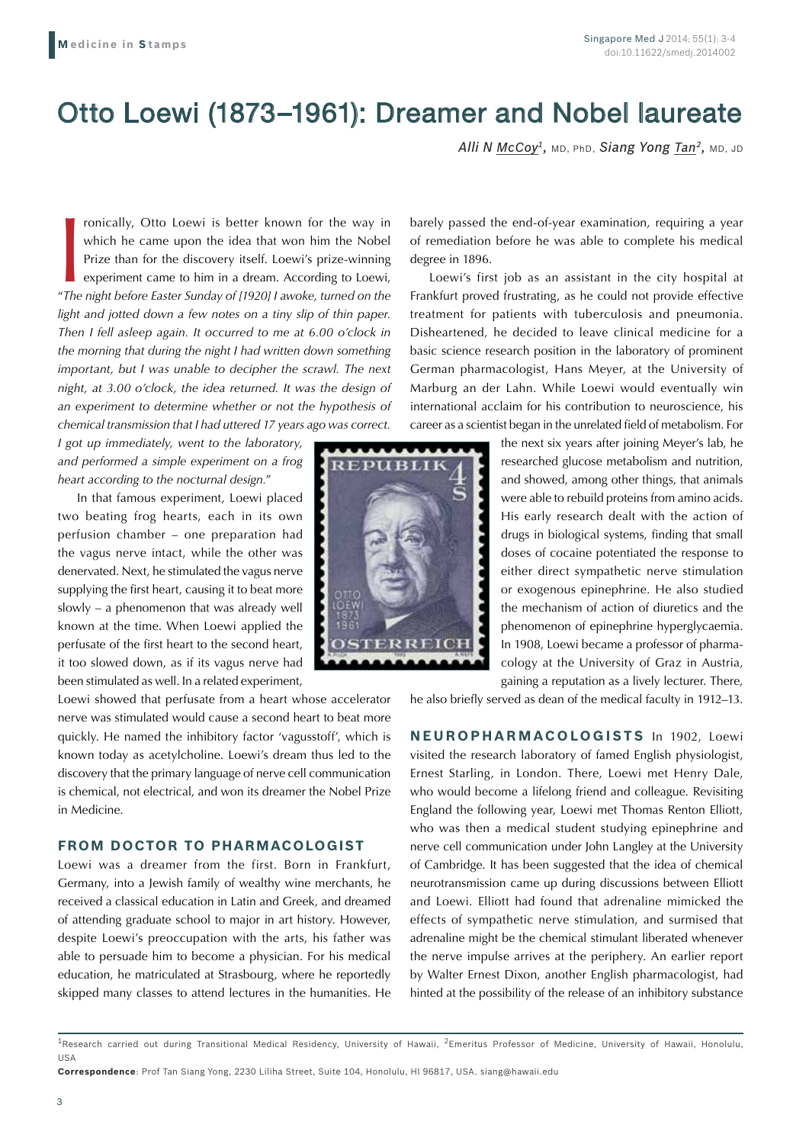## Otto Loewi (1873–1961): Dreamer and Nobel laureate

*Alli N McCoy1,* MD, PhD, *Siang Yong Tan2,* MD, JD

Francelly, Otto Loewi is better known for the way in which he came upon the idea that won him the Nobel Prize than for the discovery itself. Loewi's prize-winning experiment came to him in a dream. According to Loewi, *"Th* ronically, Otto Loewi is better known for the way in which he came upon the idea that won him the Nobel Prize than for the discovery itself. Loewi's prize-winning experiment came to him in a dream. According to Loewi, *light and jotted down a few notes on a tiny slip of thin paper. Then I fell asleep again. It occurred to me at 6.00 o'clock in the morning that during the night I had written down something important, but I was unable to decipher the scrawl. The next night, at 3.00 o'clock, the idea returned. It was the design of an experiment to determine whether or not the hypothesis of chemical transmission that I had uttered 17 years ago was correct.* 

*I got up immediately, went to the laboratory, and performed a simple experiment on a frog heart according to the nocturnal design.*"

In that famous experiment, Loewi placed two beating frog hearts, each in its own perfusion chamber – one preparation had the vagus nerve intact, while the other was denervated. Next, he stimulated the vagus nerve supplying the first heart, causing it to beat more slowly – a phenomenon that was already well known at the time. When Loewi applied the perfusate of the first heart to the second heart, it too slowed down, as if its vagus nerve had been stimulated as well. In a related experiment,

Loewi showed that perfusate from a heart whose accelerator nerve was stimulated would cause a second heart to beat more quickly. He named the inhibitory factor 'vagusstoff', which is known today as acetylcholine. Loewi's dream thus led to the discovery that the primary language of nerve cell communication is chemical, not electrical, and won its dreamer the Nobel Prize in Medicine.

## **FROM DOCTOR TO PHARMACOLOGIST**

Loewi was a dreamer from the first. Born in Frankfurt, Germany, into a Jewish family of wealthy wine merchants, he received a classical education in Latin and Greek, and dreamed of attending graduate school to major in art history. However, despite Loewi's preoccupation with the arts, his father was able to persuade him to become a physician. For his medical education, he matriculated at Strasbourg, where he reportedly skipped many classes to attend lectures in the humanities. He

 $R$ E DIJ

barely passed the end-of-year examination, requiring a year of remediation before he was able to complete his medical degree in 1896.

Loewi's first job as an assistant in the city hospital at Frankfurt proved frustrating, as he could not provide effective treatment for patients with tuberculosis and pneumonia. Disheartened, he decided to leave clinical medicine for a basic science research position in the laboratory of prominent German pharmacologist, Hans Meyer, at the University of Marburg an der Lahn. While Loewi would eventually win international acclaim for his contribution to neuroscience, his career as a scientist began in the unrelated field of metabolism. For

> the next six years after joining Meyer's lab, he researched glucose metabolism and nutrition, and showed, among other things, that animals were able to rebuild proteins from amino acids. His early research dealt with the action of drugs in biological systems, finding that small doses of cocaine potentiated the response to either direct sympathetic nerve stimulation or exogenous epinephrine. He also studied the mechanism of action of diuretics and the phenomenon of epinephrine hyperglycaemia. In 1908, Loewi became a professor of pharmacology at the University of Graz in Austria, gaining a reputation as a lively lecturer. There,

he also briefly served as dean of the medical faculty in 1912–13.

**NEUROPHARMACOLOGISTS** In 1902, Loewi visited the research laboratory of famed English physiologist, Ernest Starling, in London. There, Loewi met Henry Dale, who would become a lifelong friend and colleague. Revisiting England the following year, Loewi met Thomas Renton Elliott, who was then a medical student studying epinephrine and nerve cell communication under John Langley at the University of Cambridge. It has been suggested that the idea of chemical neurotransmission came up during discussions between Elliott and Loewi. Elliott had found that adrenaline mimicked the effects of sympathetic nerve stimulation, and surmised that adrenaline might be the chemical stimulant liberated whenever the nerve impulse arrives at the periphery. An earlier report by Walter Ernest Dixon, another English pharmacologist, had hinted at the possibility of the release of an inhibitory substance

**Correspondence**: Prof Tan Siang Yong, 2230 Liliha Street, Suite 104, Honolulu, HI 96817, USA. siang@hawaii.edu

<sup>&</sup>lt;sup>1</sup>Research carried out during Transitional Medical Residency, University of Hawaii, <sup>2</sup>Emeritus Professor of Medicine, University of Hawaii, Honolulu, USA